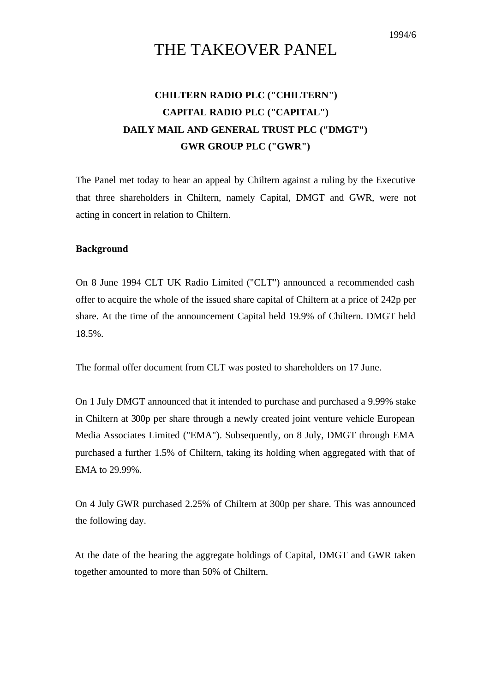1994/6

# THE TAKEOVER PANEL

## **CHILTERN RADIO PLC ("CHILTERN") CAPITAL RADIO PLC ("CAPITAL") DAILY MAIL AND GENERAL TRUST PLC ("DMGT") GWR GROUP PLC ("GWR")**

The Panel met today to hear an appeal by Chiltern against a ruling by the Executive that three shareholders in Chiltern, namely Capital, DMGT and GWR, were not acting in concert in relation to Chiltern.

#### **Background**

On 8 June 1994 CLT UK Radio Limited ("CLT") announced a recommended cash offer to acquire the whole of the issued share capital of Chiltern at a price of 242p per share. At the time of the announcement Capital held 19.9% of Chiltern. DMGT held 18.5%.

The formal offer document from CLT was posted to shareholders on 17 June.

On 1 July DMGT announced that it intended to purchase and purchased a 9.99% stake in Chiltern at 300p per share through a newly created joint venture vehicle European Media Associates Limited ("EMA"). Subsequently, on 8 July, DMGT through EMA purchased a further 1.5% of Chiltern, taking its holding when aggregated with that of EMA to 29.99%.

On 4 July GWR purchased 2.25% of Chiltern at 300p per share. This was announced the following day.

At the date of the hearing the aggregate holdings of Capital, DMGT and GWR taken together amounted to more than 50% of Chiltern.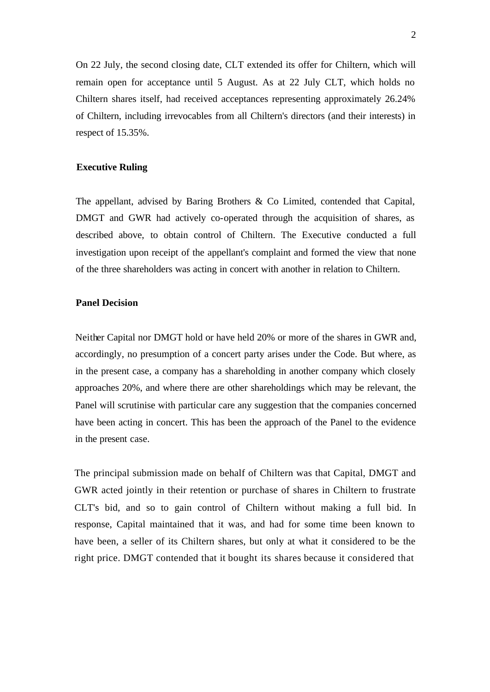On 22 July, the second closing date, CLT extended its offer for Chiltern, which will remain open for acceptance until 5 August. As at 22 July CLT, which holds no Chiltern shares itself, had received acceptances representing approximately 26.24% of Chiltern, including irrevocables from all Chiltern's directors (and their interests) in respect of 15.35%.

#### **Executive Ruling**

The appellant, advised by Baring Brothers & Co Limited, contended that Capital, DMGT and GWR had actively co-operated through the acquisition of shares, as described above, to obtain control of Chiltern. The Executive conducted a full investigation upon receipt of the appellant's complaint and formed the view that none of the three shareholders was acting in concert with another in relation to Chiltern.

### **Panel Decision**

Neither Capital nor DMGT hold or have held 20% or more of the shares in GWR and, accordingly, no presumption of a concert party arises under the Code. But where, as in the present case, a company has a shareholding in another company which closely approaches 20%, and where there are other shareholdings which may be relevant, the Panel will scrutinise with particular care any suggestion that the companies concerned have been acting in concert. This has been the approach of the Panel to the evidence in the present case.

The principal submission made on behalf of Chiltern was that Capital, DMGT and GWR acted jointly in their retention or purchase of shares in Chiltern to frustrate CLT's bid, and so to gain control of Chiltern without making a full bid. In response, Capital maintained that it was, and had for some time been known to have been, a seller of its Chiltern shares, but only at what it considered to be the right price. DMGT contended that it bought its shares because it considered that